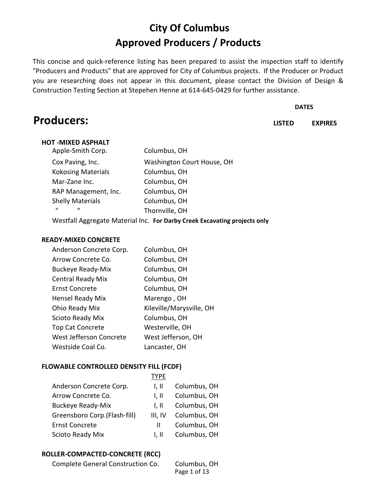## **City Of Columbus Approved Producers / Products**

This concise and quick-reference listing has been prepared to assist the inspection staff to identify "Producers and Products" that are approved for City of Columbus projects. If the Producer or Product you are researching does not appear in this document, please contact the Division of Design & Construction Testing Section at Stepehen Henne at 614-645-0429 for further assistance.

#### **DATES**

**LISTED EXPIRES**

## **HOT -MIXED ASPHALT**

**Producers:** 

| Apple-Smith Corp.                                            | Columbus, OH               |
|--------------------------------------------------------------|----------------------------|
| Cox Paving, Inc.                                             | Washington Court House, OH |
| <b>Kokosing Materials</b>                                    | Columbus, OH               |
| Mar-Zane Inc.                                                | Columbus, OH               |
| RAP Management, Inc.                                         | Columbus, OH               |
| <b>Shelly Materials</b>                                      | Columbus, OH               |
| $\mathbf{u}$<br>ш                                            | Thornville, OH             |
| Westfall Agoreante Meterial Ing. Franculo: Carolic Friendini |                            |

Westfall Aggregate Material Inc. **For Darby Creek Excavating projects only**

#### **READY-MIXED CONCRETE**

| Columbus, OH             |
|--------------------------|
| Columbus, OH             |
| Columbus, OH             |
| Columbus, OH             |
| Columbus, OH             |
| Marengo, OH              |
| Kileville/Marysville, OH |
| Columbus, OH             |
| Westerville, OH          |
| West Jefferson, OH       |
| Lancaster, OH            |
|                          |

#### **FLOWABLE CONTROLLED DENSITY FILL (FCDF)**

|                              | TYPE    |              |
|------------------------------|---------|--------------|
| Anderson Concrete Corp.      | 1. II   | Columbus, OH |
| Arrow Concrete Co.           | 1. II   | Columbus, OH |
| <b>Buckeye Ready-Mix</b>     | 1. II   | Columbus, OH |
| Greensboro Corp.(Flash-fill) | III. IV | Columbus, OH |
| <b>Ernst Concrete</b>        | Ш       | Columbus, OH |
| <b>Scioto Ready Mix</b>      | 1. II   | Columbus, OH |

#### **ROLLER-COMPACTED-CONCRETE (RCC)**

| Complete General Construction Co. | Columbus, OH |
|-----------------------------------|--------------|
|                                   | Page 1 of 13 |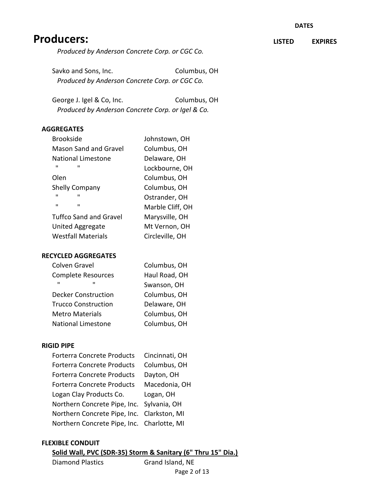**LISTED EXPIRES**

## **Producers:**

*Produced by Anderson Concrete Corp. or CGC Co.*

Savko and Sons, Inc. Columbus, OH  *Produced by Anderson Concrete Corp. or CGC Co.*

George J. Igel & Co, Inc. Columbus, OH  *Produced by Anderson Concrete Corp. or Igel & Co.*

#### **AGGREGATES**

| <b>Brookside</b>                 | Johnstown, OH    |
|----------------------------------|------------------|
| Mason Sand and Gravel            | Columbus, OH     |
| National Limestone               | Delaware, OH     |
| ш<br>ш                           | Lockbourne, OH   |
| Olen                             | Columbus, OH     |
| <b>Shelly Company</b>            | Columbus, OH     |
| $\mathbf{u}$<br>ш                | Ostrander, OH    |
| $\blacksquare$<br>$\blacksquare$ | Marble Cliff, OH |
| <b>Tuffco Sand and Gravel</b>    | Marysville, OH   |
| United Aggregate                 | Mt Vernon, OH    |
| <b>Westfall Materials</b>        | Circleville, OH  |

#### **RECYCLED AGGREGATES**

| Colven Gravel              | Columbus, OH  |
|----------------------------|---------------|
| <b>Complete Resources</b>  | Haul Road, OH |
| $\mathbf{u}$<br>ш          | Swanson, OH   |
| <b>Decker Construction</b> | Columbus, OH  |
| <b>Trucco Construction</b> | Delaware, OH  |
| <b>Metro Materials</b>     | Columbus, OH  |
| <b>National Limestone</b>  | Columbus, OH  |

#### **RIGID PIPE**

| <b>Forterra Concrete Products</b>          | Cincinnati, OH |
|--------------------------------------------|----------------|
| <b>Forterra Concrete Products</b>          | Columbus, OH   |
| <b>Forterra Concrete Products</b>          | Dayton, OH     |
| <b>Forterra Concrete Products</b>          | Macedonia, OH  |
|                                            |                |
| Logan Clay Products Co.                    | Logan, OH      |
| Northern Concrete Pipe, Inc. Sylvania, OH  |                |
| Northern Concrete Pipe, Inc. Clarkston, MI |                |

#### **FLEXIBLE CONDUIT**

#### **Solid Wall, PVC (SDR-35) Storm & Sanitary (6" Thru 15" Dia.)**

Diamond Plastics Grand Island, NE

Page 2 of 13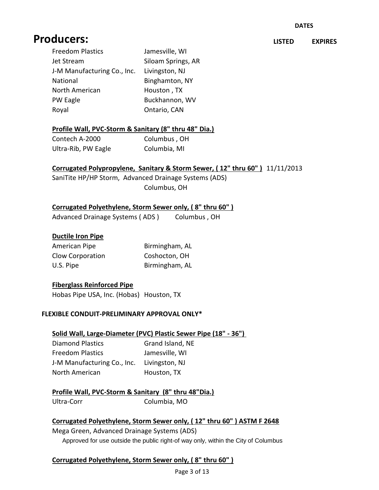#### **DATES**

**LISTED EXPIRES**

## **Producers:**

| <b>Freedom Plastics</b>     | Jamesville, WI     |
|-----------------------------|--------------------|
| Jet Stream                  | Siloam Springs, AR |
| J-M Manufacturing Co., Inc. | Livingston, NJ     |
| National                    | Binghamton, NY     |
| North American              | Houston, TX        |
| PW Eagle                    | Buckhannon, WV     |
| Royal                       | Ontario, CAN       |

#### **Profile Wall, PVC-Storm & Sanitary (8" thru 48" Dia.)**

| Contech A-2000      | Columbus, OH |
|---------------------|--------------|
| Ultra-Rib, PW Eagle | Columbia, MI |

#### **Corrugated Polypropylene, Sanitary & Storm Sewer, ( 12" thru 60" )** 11/11/2013

SaniTite HP/HP Storm, Advanced Drainage Systems (ADS) Columbus, OH

#### **Corrugated Polyethylene, Storm Sewer only, ( 8" thru 60" )**

Advanced Drainage Systems (ADS) Columbus, OH

#### **Ductile Iron Pipe**

| American Pipe           | Birmingham, AL |
|-------------------------|----------------|
| <b>Clow Corporation</b> | Coshocton, OH  |
| U.S. Pipe               | Birmingham, AL |

#### **Fiberglass Reinforced Pipe**

Hobas Pipe USA, Inc. (Hobas) Houston, TX

#### **FLEXIBLE CONDUIT-PRELIMINARY APPROVAL ONLY\***

#### **Solid Wall, Large-Diameter (PVC) Plastic Sewer Pipe (18" - 36")**

| <b>Diamond Plastics</b>     | Grand Island, NE |
|-----------------------------|------------------|
| <b>Freedom Plastics</b>     | Jamesville, WI   |
| J-M Manufacturing Co., Inc. | Livingston, NJ   |
| North American              | Houston, TX      |

#### **Profile Wall, PVC-Storm & Sanitary (8" thru 48"Dia.)**

Ultra-Corr Columbia, MO

#### **Corrugated Polyethylene, Storm Sewer only, ( 12" thru 60" ) ASTM F 2648**

Mega Green, Advanced Drainage Systems (ADS) Approved for use outside the public right-of way only, within the City of Columbus

#### **Corrugated Polyethylene, Storm Sewer only, ( 8" thru 60" )**

Page 3 of 13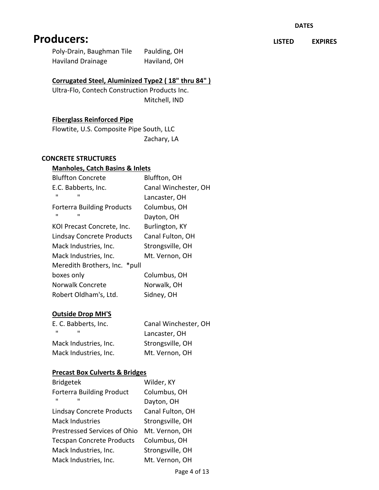Poly-Drain, Baughman Tile Paulding, OH Haviland Drainage Haviland, OH

### **Corrugated Steel, Aluminized Type2 ( 18" thru 84" )**

Ultra-Flo, Contech Construction Products Inc. Mitchell, IND

#### **Fiberglass Reinforced Pipe**

Flowtite, U.S. Composite Pipe South, LLC Zachary, LA

#### **CONCRETE STRUCTURES**

#### **Manholes, Catch Basins & Inlets**

| <b>Bluffton Concrete</b>          | Bluffton, OH         |
|-----------------------------------|----------------------|
| E.C. Babberts, Inc.               | Canal Winchester, OH |
| $\mathbf{u}$<br>ш                 | Lancaster, OH        |
| <b>Forterra Building Products</b> | Columbus, OH         |
| ш<br>ш                            | Dayton, OH           |
| KOI Precast Concrete, Inc.        | Burlington, KY       |
| <b>Lindsay Concrete Products</b>  | Canal Fulton, OH     |
| Mack Industries, Inc.             | Strongsville, OH     |
| Mack Industries, Inc.             | Mt. Vernon, OH       |
| Meredith Brothers, Inc. * pull    |                      |
| boxes only                        | Columbus, OH         |
| <b>Norwalk Concrete</b>           | Norwalk, OH          |
| Robert Oldham's, Ltd.             | Sidney, OH           |
|                                   |                      |

#### **Outside Drop MH'S**

| E. C. Babberts, Inc.  | Canal Winchester, OH |
|-----------------------|----------------------|
| ш<br>                 | Lancaster, OH        |
| Mack Industries, Inc. | Strongsville, OH     |
| Mack Industries, Inc. | Mt. Vernon, OH       |

#### **Precast Box Culverts & Bridges**

| <b>Bridgetek</b>                    | Wilder, KY       |
|-------------------------------------|------------------|
| <b>Forterra Building Product</b>    | Columbus, OH     |
| ш<br>п                              | Dayton, OH       |
| <b>Lindsay Concrete Products</b>    | Canal Fulton, OH |
| <b>Mack Industries</b>              | Strongsville, OH |
| <b>Prestressed Services of Ohio</b> | Mt. Vernon, OH   |
| <b>Tecspan Concrete Products</b>    | Columbus, OH     |
| Mack Industries, Inc.               | Strongsville, OH |
| Mack Industries, Inc.               | Mt. Vernon, OH   |

**LISTED EXPIRES**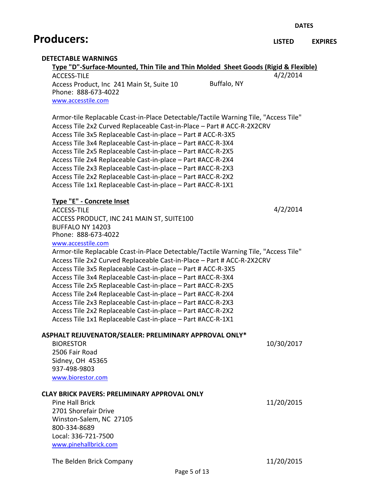**DATES**

## **Producers:**

#### **LISTED EXPIRES**

#### **DETECTABLE WARNINGS**

| Type "D"-Surface-Mounted, Thin Tile and Thin Molded Sheet Goods (Rigid & Flexible)<br><b>ACCESS-TILE</b> |             | 4/2/2014   |
|----------------------------------------------------------------------------------------------------------|-------------|------------|
| Access Product, Inc 241 Main St, Suite 10                                                                | Buffalo, NY |            |
| Phone: 888-673-4022                                                                                      |             |            |
| www.accesstile.com                                                                                       |             |            |
|                                                                                                          |             |            |
| Armor-tile Replacable Ccast-in-Place Detectable/Tactile Warning Tile, "Access Tile"                      |             |            |
| Access Tile 2x2 Curved Replaceable Cast-in-Place - Part # ACC-R-2X2CRV                                   |             |            |
| Access Tile 3x5 Replaceable Cast-in-place - Part # ACC-R-3X5                                             |             |            |
| Access Tile 3x4 Replaceable Cast-in-place - Part #ACC-R-3X4                                              |             |            |
| Access Tile 2x5 Replaceable Cast-in-place - Part #ACC-R-2X5                                              |             |            |
| Access Tile 2x4 Replaceable Cast-in-place - Part #ACC-R-2X4                                              |             |            |
| Access Tile 2x3 Replaceable Cast-in-place - Part #ACC-R-2X3                                              |             |            |
| Access Tile 2x2 Replaceable Cast-in-place - Part #ACC-R-2X2                                              |             |            |
| Access Tile 1x1 Replaceable Cast-in-place - Part #ACC-R-1X1                                              |             |            |
| Type "E" - Concrete Inset                                                                                |             |            |
| <b>ACCESS-TILE</b>                                                                                       |             | 4/2/2014   |
| ACCESS PRODUCT, INC 241 MAIN ST, SUITE100                                                                |             |            |
| BUFFALO NY 14203                                                                                         |             |            |
| Phone: 888-673-4022                                                                                      |             |            |
| www.accesstile.com                                                                                       |             |            |
| Armor-tile Replacable Ccast-in-Place Detectable/Tactile Warning Tile, "Access Tile"                      |             |            |
| Access Tile 2x2 Curved Replaceable Cast-in-Place - Part # ACC-R-2X2CRV                                   |             |            |
| Access Tile 3x5 Replaceable Cast-in-place - Part # ACC-R-3X5                                             |             |            |
| Access Tile 3x4 Replaceable Cast-in-place - Part #ACC-R-3X4                                              |             |            |
| Access Tile 2x5 Replaceable Cast-in-place - Part #ACC-R-2X5                                              |             |            |
| Access Tile 2x4 Replaceable Cast-in-place - Part #ACC-R-2X4                                              |             |            |
| Access Tile 2x3 Replaceable Cast-in-place - Part #ACC-R-2X3                                              |             |            |
| Access Tile 2x2 Replaceable Cast-in-place - Part #ACC-R-2X2                                              |             |            |
| Access Tile 1x1 Replaceable Cast-in-place - Part #ACC-R-1X1                                              |             |            |
| ASPHALT REJUVENATOR/SEALER: PRELIMINARY APPROVAL ONLY*                                                   |             |            |
| <b>BIORESTOR</b>                                                                                         |             | 10/30/2017 |
| 2506 Fair Road                                                                                           |             |            |
| Sidney, OH 45365                                                                                         |             |            |
| 937-498-9803                                                                                             |             |            |
| www.biorestor.com                                                                                        |             |            |
| CLAY BRICK PAVERS: PRELIMINARY APPROVAL ONLY                                                             |             |            |
| Pine Hall Brick                                                                                          |             | 11/20/2015 |
| 2701 Shorefair Drive                                                                                     |             |            |
| Winston-Salem, NC 27105                                                                                  |             |            |
|                                                                                                          |             |            |
|                                                                                                          |             |            |
| 800-334-8689<br>Local: 336-721-7500                                                                      |             |            |

The Belden Brick Company 11/20/2015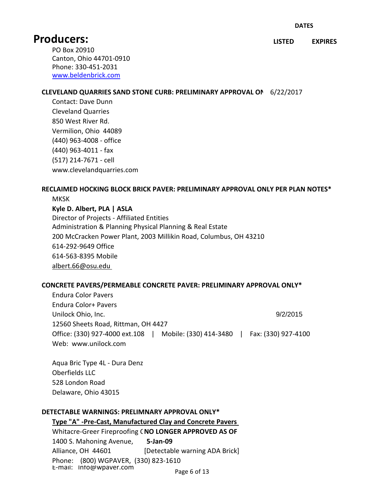**LISTED EXPIRES**

PO Box 20910 Canton, Ohio 44701-0910 Phone: 330-451-2031 [www.beldenbrick.com](http://www.beldenbrick.com/)

#### **CLEVELAND QUARRIES SAND STONE CURB: PRELIMINARY APPROVAL ONLY**6/22/2017

Contact: Dave Dunn Cleveland Quarries 850 West River Rd. Vermilion, Ohio 44089 (440) 963-4008 - office (440) 963-4011 - fax (517) 214-7671 - cell www.clevelandquarries.com

#### **RECLAIMED HOCKING BLOCK BRICK PAVER: PRELIMINARY APPROVAL ONLY PER PLAN NOTES\***

**MKSK** 

**Kyle D. Albert, PLA | ASLA**

Director of Projects - Affiliated Entities Administration & Planning Physical Planning & Real Estate 200 McCracken Power Plant, 2003 Millikin Road, Columbus, OH 43210 614-292-9649 Office 614-563-8395 Mobile [albert.66@osu.edu](mailto:albert.66@osu.edu) 

#### **CONCRETE PAVERS/PERMEABLE CONCRETE PAVER: PRELIMINARY APPROVAL ONLY\***

Endura Color Pavers Endura Color+ Pavers Unilock Ohio, Inc. 9/2/2015 12560 Sheets Road, Rittman, OH 4427 Office: (330) 927-4000 ext.108 | Mobile: (330) 414-3480 | Fax: (330) 927-4100 Web: www.unilock.com

Aqua Bric Type 4L - Dura Denz Oberfields LLC 528 London Road Delaware, Ohio 43015

#### **DETECTABLE WARNINGS: PRELIMNARY APPROVAL ONLY\***

**Type "A" -Pre-Cast, Manufactured Clay and Concrete Pavers**  Whitacre-Greer Fireproofing CNO LONGER APPROVED AS OF 1400 S. Mahoning Avenue, **5-Jan-09** Alliance, OH 44601 [Detectable warning ADA Brick] Phone: (800) WGPAVER, (330) 823-1610 E-mail: Info@wpaver.com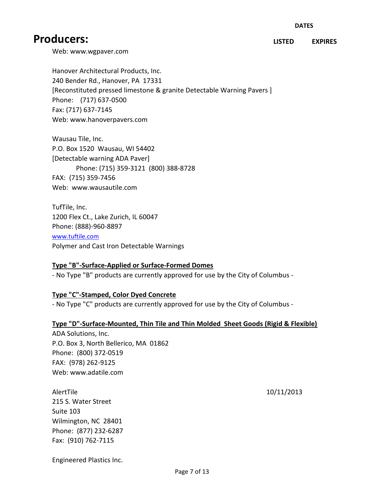**LISTED EXPIRES**

Web: www.wgpaver.com

Hanover Architectural Products, Inc. 240 Bender Rd., Hanover, PA 17331 [Reconstituted pressed limestone & granite Detectable Warning Pavers ] Phone: (717) 637-0500 Fax: (717) 637-7145 Web: www.hanoverpavers.com

Wausau Tile, Inc. P.O. Box 1520 Wausau, WI 54402 [Detectable warning ADA Paver] Phone: (715) 359-3121 (800) 388-8728 FAX: (715) 359-7456 Web: www.wausautile.com

TufTile, Inc. 1200 Flex Ct., Lake Zurich, IL 60047 Phone: (888)-960-8897 [www.tuftile.com](http://www.tuftile.com/) Polymer and Cast Iron Detectable Warnings

#### **Type "B"-Surface-Applied or Surface-Formed Domes**

- No Type "B" products are currently approved for use by the City of Columbus -

#### **Type "C"-Stamped, Color Dyed Concrete**

- No Type "C" products are currently approved for use by the City of Columbus -

#### **Type "D"-Surface-Mounted, Thin Tile and Thin Molded Sheet Goods (Rigid & Flexible)**

ADA Solutions, Inc. P.O. Box 3, North Bellerico, MA 01862 Phone: (800) 372-0519 FAX: (978) 262-9125 Web: www.adatile.com

AlertTile 10/11/2013 215 S. Water Street Suite 103 Wilmington, NC 28401 Phone: (877) 232-6287 Fax: (910) 762-7115

Engineered Plastics Inc.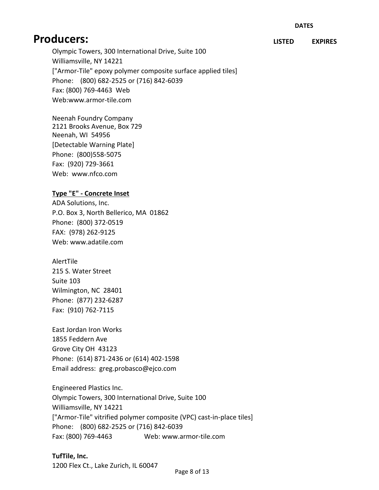**LISTED EXPIRES**

Olympic Towers, 300 International Drive, Suite 100 Williamsville, NY 14221 ["Armor-Tile" epoxy polymer composite surface applied tiles] Phone: (800) 682-2525 or (716) 842-6039 Fax: (800) 769-4463 Web Web:www.armor-tile.com

Neenah Foundry Company 2121 Brooks Avenue, Box 729 Neenah, WI 54956 [Detectable Warning Plate] Phone: (800)558-5075 Fax: (920) 729-3661 Web: www.nfco.com

#### **Type "E" - Concrete Inset**

ADA Solutions, Inc. P.O. Box 3, North Bellerico, MA 01862 Phone: (800) 372-0519 FAX: (978) 262-9125 Web: www.adatile.com

AlertTile 215 S. Water Street Suite 103 Wilmington, NC 28401 Phone: (877) 232-6287 Fax: (910) 762-7115

East Jordan Iron Works 1855 Feddern Ave Grove City OH 43123 Phone: (614) 871-2436 or (614) 402-1598 Email address: greg.probasco@ejco.com

Engineered Plastics Inc. Olympic Towers, 300 International Drive, Suite 100 Williamsville, NY 14221 ["Armor-Tile" vitrified polymer composite (VPC) cast-in-place tiles] Phone: (800) 682-2525 or (716) 842-6039 Fax: (800) 769-4463 Web: www.armor-tile.com

**TufTile, Inc.**  1200 Flex Ct., Lake Zurich, IL 60047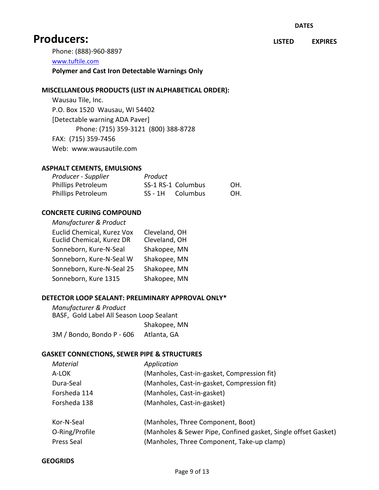Phone: (888)-960-8897

[www.tuftile.com](http://www.tuftile.com/)

**Polymer and Cast Iron Detectable Warnings Only**

#### **MISCELLANEOUS PRODUCTS (LIST IN ALPHABETICAL ORDER):**

Wausau Tile, Inc. P.O. Box 1520 Wausau, WI 54402 [Detectable warning ADA Paver] Phone: (715) 359-3121 (800) 388-8728 FAX: (715) 359-7456 Web: www.wausautile.com

#### **ASPHALT CEMENTS, EMULSIONS**

| Producer - Supplier       | Product |                    |     |
|---------------------------|---------|--------------------|-----|
| <b>Phillips Petroleum</b> |         | SS-1 RS-1 Columbus | OH. |
| <b>Phillips Petroleum</b> |         | SS-1H Columbus     | OH. |

#### **CONCRETE CURING COMPOUND**

| Manufacturer & Product                                  |                                |
|---------------------------------------------------------|--------------------------------|
| Euclid Chemical, Kurez Vox<br>Euclid Chemical, Kurez DR | Cleveland, OH<br>Cleveland, OH |
| Sonneborn, Kure-N-Seal                                  | Shakopee, MN                   |
| Sonneborn, Kure-N-Seal W                                | Shakopee, MN                   |
| Sonneborn, Kure-N-Seal 25                               | Shakopee, MN                   |
| Sonneborn, Kure 1315                                    | Shakopee, MN                   |

#### **DETECTOR LOOP SEALANT: PRELIMINARY APPROVAL ONLY\***

*Manufacturer & Product* BASF, Gold Label All Season Loop Sealant Shakopee, MN 3M / Bondo, Bondo P - 606 Atlanta, GA

#### **GASKET CONNECTIONS, SEWER PIPE & STRUCTURES**

| Material       | Application                                                    |
|----------------|----------------------------------------------------------------|
| A-LOK          | (Manholes, Cast-in-gasket, Compression fit)                    |
| Dura-Seal      | (Manholes, Cast-in-gasket, Compression fit)                    |
| Forsheda 114   | (Manholes, Cast-in-gasket)                                     |
| Forsheda 138   | (Manholes, Cast-in-gasket)                                     |
| Kor-N-Seal     | (Manholes, Three Component, Boot)                              |
| O-Ring/Profile | (Manholes & Sewer Pipe, Confined gasket, Single offset Gasket) |
| Press Seal     | (Manholes, Three Component, Take-up clamp)                     |

#### **GEOGRIDS**

**LISTED EXPIRES**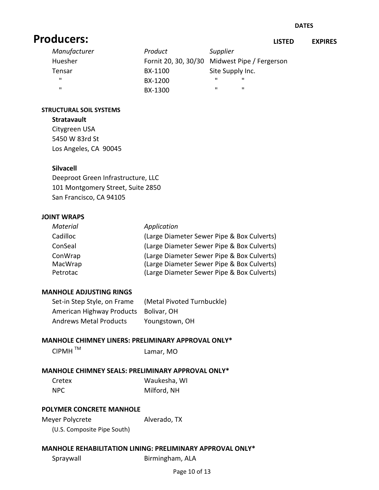**LISTED EXPIRES**

| Manufacturer | Product                                       | Supplier          |  |
|--------------|-----------------------------------------------|-------------------|--|
| Huesher      | Fornit 20, 30, 30/30 Midwest Pipe / Fergerson |                   |  |
| Tensar       | BX-1100                                       | Site Supply Inc.  |  |
| $\mathbf{u}$ | BX-1200                                       | $\mathbf{u}$<br>ш |  |
| ш            | BX-1300                                       | ш<br>п            |  |

#### **STRUCTURAL SOIL SYSTEMS**

#### **Stratavault**

Citygreen USA 5450 W 83rd St Los Angeles, CA 90045

#### **Silvacell**

Deeproot Green Infrastructure, LLC 101 Montgomery Street, Suite 2850 San Francisco, CA 94105

#### **JOINT WRAPS**

| Application                                |
|--------------------------------------------|
| (Large Diameter Sewer Pipe & Box Culverts) |
| (Large Diameter Sewer Pipe & Box Culverts) |
| (Large Diameter Sewer Pipe & Box Culverts) |
| (Large Diameter Sewer Pipe & Box Culverts) |
| (Large Diameter Sewer Pipe & Box Culverts) |
|                                            |

#### **MANHOLE ADJUSTING RINGS**

| Set-in Step Style, on Frame           | (Metal Pivoted Turnbuckle) |
|---------------------------------------|----------------------------|
| American Highway Products Bolivar, OH |                            |
| <b>Andrews Metal Products</b>         | Youngstown, OH             |

# **MANHOLE CHIMNEY LINERS: PRELIMINARY APPROVAL ONLY\***<br>CIPMH <sup>TM</sup> Lamar. MO

Lamar, MO

### **MANHOLE CHIMNEY SEALS: PRELIMINARY APPROVAL ONLY\***

| Cretex | Waukesha, WI |
|--------|--------------|
| NPC    | Milford, NH  |

#### **POLYMER CONCRETE MANHOLE**

Meyer Polycrete Alverado, TX

(U.S. Composite Pipe South)

#### **MANHOLE REHABILITATION LINING: PRELIMINARY APPROVAL ONLY\***

Spraywall Birmingham, ALA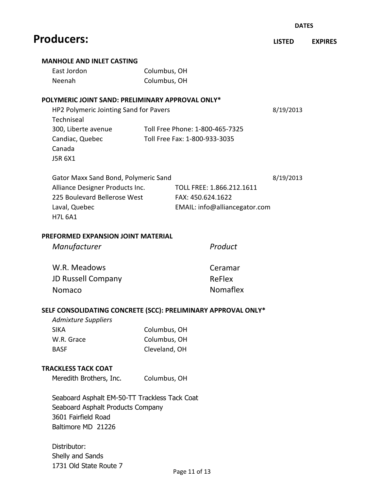|                                                      |                                                               | <b>DATES</b>  |                |
|------------------------------------------------------|---------------------------------------------------------------|---------------|----------------|
| <b>Producers:</b>                                    |                                                               | <b>LISTED</b> | <b>EXPIRES</b> |
| <b>MANHOLE AND INLET CASTING</b>                     |                                                               |               |                |
| East Jordon                                          | Columbus, OH                                                  |               |                |
| Neenah                                               | Columbus, OH                                                  |               |                |
| POLYMERIC JOINT SAND: PRELIMINARY APPROVAL ONLY*     |                                                               |               |                |
| HP2 Polymeric Jointing Sand for Pavers<br>Techniseal |                                                               | 8/19/2013     |                |
| 300, Liberte avenue                                  | Toll Free Phone: 1-800-465-7325                               |               |                |
| Candiac, Quebec<br>Canada<br>J5R 6X1                 | Toll Free Fax: 1-800-933-3035                                 |               |                |
| Gator Maxx Sand Bond, Polymeric Sand                 |                                                               | 8/19/2013     |                |
| Alliance Designer Products Inc.                      | TOLL FREE: 1.866.212.1611                                     |               |                |
| 225 Boulevard Bellerose West                         | FAX: 450.624.1622                                             |               |                |
| Laval, Quebec<br><b>H7L 6A1</b>                      | EMAIL: info@alliancegator.com                                 |               |                |
| <b>PREFORMED EXPANSION JOINT MATERIAL</b>            |                                                               |               |                |
| Manufacturer                                         | Product                                                       |               |                |
| W.R. Meadows                                         | Ceramar                                                       |               |                |
| <b>JD Russell Company</b>                            | ReFlex                                                        |               |                |
| Nomaco                                               | Nomaflex                                                      |               |                |
|                                                      | SELF CONSOLIDATING CONCRETE (SCC): PRELIMINARY APPROVAL ONLY* |               |                |
| <b>Admixture Suppliers</b>                           |                                                               |               |                |
| <b>SIKA</b>                                          | Columbus, OH                                                  |               |                |
| W.R. Grace                                           | Columbus, OH                                                  |               |                |
| <b>BASF</b>                                          | Cleveland, OH                                                 |               |                |
| <b>TRACKLESS TACK COAT</b>                           |                                                               |               |                |
| Meredith Brothers, Inc.                              | Columbus, OH                                                  |               |                |
| Seaboard Asphalt EM-50-TT Trackless Tack Coat        |                                                               |               |                |
| Seaboard Asphalt Products Company                    |                                                               |               |                |
| 3601 Fairfield Road                                  |                                                               |               |                |
| Baltimore MD 21226                                   |                                                               |               |                |
| Distributor:                                         |                                                               |               |                |
| Shelly and Sands                                     |                                                               |               |                |

1731 Old State Route 7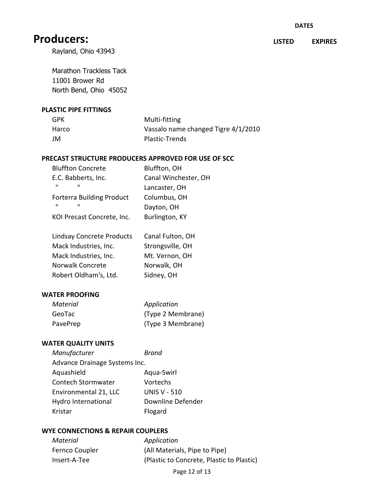**LISTED EXPIRES**

Rayland, Ohio 43943

Marathon Trackless Tack 11001 Brower Rd North Bend, Ohio 45052

#### **PLASTIC PIPE FITTINGS**

| GPK   | Multi-fitting                       |
|-------|-------------------------------------|
| Harco | Vassalo name changed Tigre 4/1/2010 |
| JM    | Plastic-Trends                      |

#### **PRECAST STRUCTURE PRODUCERS APPROVED FOR USE OF SCC**

| <b>Bluffton Concrete</b>         | Bluffton, OH         |
|----------------------------------|----------------------|
| E.C. Babberts, Inc.              | Canal Winchester, OH |
| $\mathbf{u}$<br>ш                | Lancaster, OH        |
| <b>Forterra Building Product</b> | Columbus, OH         |
| $\mathbf{u}$<br>ш                | Dayton, OH           |
| KOI Precast Concrete, Inc.       | Burlington, KY       |

| <b>Lindsay Concrete Products</b> | Canal Fulton, OH |
|----------------------------------|------------------|
| Mack Industries, Inc.            | Strongsville, OH |
| Mack Industries, Inc.            | Mt. Vernon, OH   |
| Norwalk Concrete                 | Norwalk, OH      |
| Robert Oldham's, Ltd.            | Sidney, OH       |

#### **WATER PROOFING**

| Material | Application       |
|----------|-------------------|
| GeoTac   | (Type 2 Membrane) |
| PavePrep | (Type 3 Membrane) |

#### **WATER QUALITY UNITS**

| Manufacturer                  | <b>Brand</b>        |
|-------------------------------|---------------------|
| Advance Drainage Systems Inc. |                     |
| Aquashield                    | Aqua-Swirl          |
| Contech Stormwater            | Vortechs            |
| Environmental 21, LLC         | <b>UNIS V - 510</b> |
| Hydro International           | Downline Defender   |
| Kristar                       | Flogard             |

#### **WYE CONNECTIONS & REPAIR COUPLERS**

*Material Application*

Fernco Coupler (All Materials, Pipe to Pipe) Insert-A-Tee (Plastic to Concrete, Plastic to Plastic)

Page 12 of 13